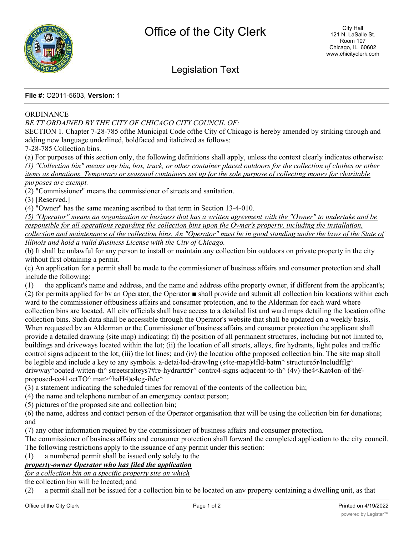

# Legislation Text

#### **File #:** O2011-5603, **Version:** 1

#### **ORDINANCE**

#### *BE TT ORDAINED BY THE CITY OF CHICAGO CITY COUNCIL OF:*

SECTION 1. Chapter 7-28-785 ofthe Municipal Code ofthe City of Chicago is hereby amended by striking through and adding new language underlined, boldfaced and italicized as follows:

7-28-785 Collection bins.

(a) For purposes of this section only, the following definitions shall apply, unless the context clearly indicates otherwise: *(1) "Collection bin" means any bin, box, truck, or other container placed outdoors for the collection of clothes or other items as donations. Temporary or seasonal containers set up for the sole purpose of collecting money for charitable purposes are exempt.*

(2) "Commissioner" means the commissioner of streets and sanitation.

(3) [Reserved.]

(4) "Owner" has the same meaning ascribed to that term in Section 13-4-010.

*(5) "Operator" means an organization or business that has a written agreement with the "Owner" to undertake and be responsible for all operations regarding the collection bins upon the Owner's property, including the installation, collection and maintenance of the collection bins. An "Operator" must be in good standing under the laws of the State of Illinois and hold a valid Business License with the Citv of Chicago.*

(b) It shall be unlawful for any person to install or maintain any collection bin outdoors on private property in the city without first obtaining a permit.

(c) An application for a permit shall be made to the commissioner of business affairs and consumer protection and shall include the following:

(1) the applicant's name and address, and the name and address ofthe property owner, if different from the applicant's; (2) for permits applied for bv an Operator, the Operator ■ shall provide and submit all collection bin locations within each ward to the commissioner oftbusiness affairs and consumer protection, and to the Alderman for each ward where collection bins are located. All citv officials shall have access to a detailed list and ward maps detailing the location ofthe collection bins. Such data shall be accessible through the Operator's website that shall be updated on a weekly basis. When requested by an Alderman or the Commissioner of business affairs and consumer protection the applicant shall provide a detailed drawing (site map) indicating: fi) the position of all permanent structures, including but not limited to, buildings and driveways located within the lot; (ii) the location of all streets, alleys, fire hydrants, light poles and traffic control signs adjacent to the lot; (iii) the lot lines; and (iv) the location ofthe proposed collection bin. The site map shall be legible and include a key to any symbols. a-detai4ed-draw4ng (s4te-map)4fld-batm<sup> $\land$ </sup> structure5r4ncludfflg $\land$ driwway^ooated-witten-th^ streetsralteys7#re-hydrartt5r^ contrc4-signs-adjacent-to-th^ (4v)-the4<Kat4on-of-th€ proposed-cc41«ctTO^ mar>^haH4)e4eg-ibJe^

(3) a statement indicating the scheduled times for removal of the contents of the collection bin;

(4) the name and telephone number of an emergency contact person;

(5) pictures of the proposed site and collection bin;

(6) the name, address and contact person of the Operator organisation that will be using the collection bin for donations; and

(7) any other information required by the commissioner of business affairs and consumer protection.

The commissioner of business affairs and consumer protection shall forward the completed application to the city council. The following restrictions apply to the issuance of any permit under this section:

(1) a numbered permit shall be issued only solely to the

## *property-owner Operator who has filed the application*

*for a collection bin on a specific property site on which*

the collection bin will be located; and

(2) a permit shall not be issued for a collection bin to be located on anv property containing a dwelling unit, as that